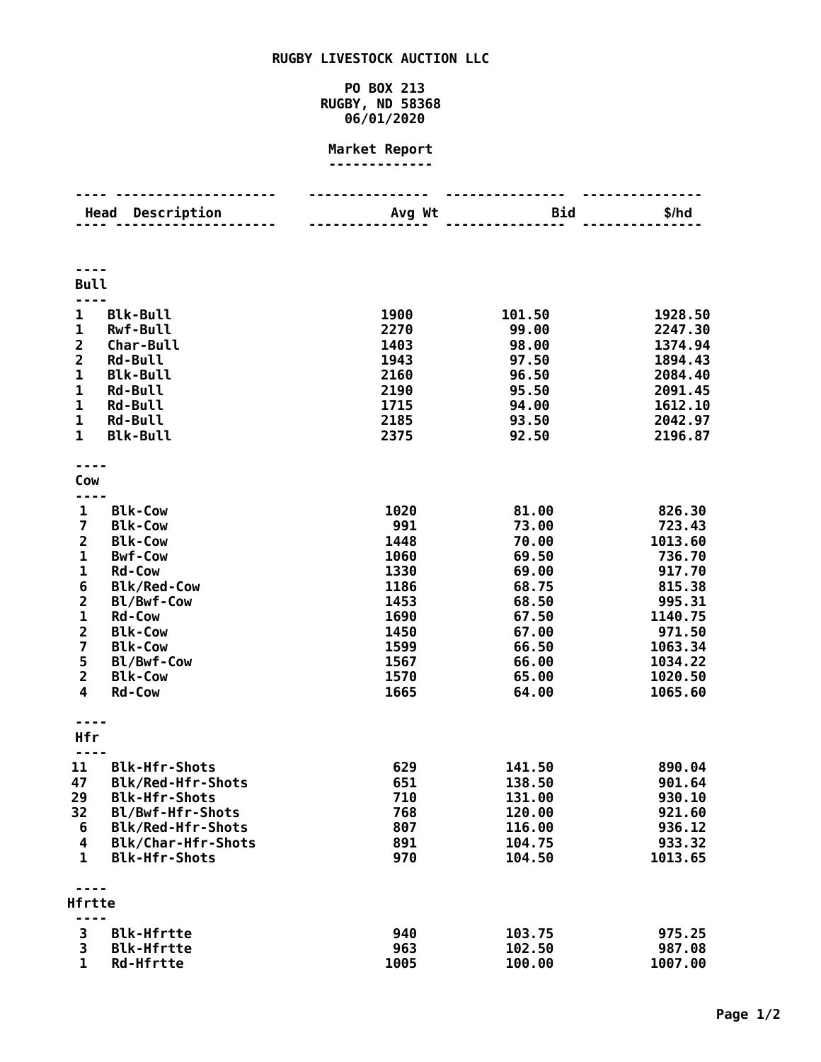## **RUGBY LIVESTOCK AUCTION LLC**

## **PO BOX 213 RUGBY, ND 58368 06/01/2020**

## **Market Report -------------**

|                         | Description<br>Head      | Avg Wt | <b>Bid</b> | \$/hd   |
|-------------------------|--------------------------|--------|------------|---------|
|                         |                          |        |            |         |
|                         |                          |        |            |         |
|                         |                          |        |            |         |
| <b>Bull</b>             |                          |        |            |         |
|                         |                          |        |            |         |
| 1                       | <b>Blk-Bull</b>          | 1900   | 101.50     | 1928.50 |
| $\mathbf 1$             | Rwf-Bull                 | 2270   | 99.00      | 2247.30 |
| $\overline{\mathbf{c}}$ | Char-Bull                | 1403   | 98.00      | 1374.94 |
|                         | <b>Rd-Bull</b>           | 1943   | 97.50      | 1894.43 |
| $\frac{2}{1}$           | <b>Blk-Bull</b>          | 2160   | 96.50      | 2084.40 |
| $\mathbf{1}$            | <b>Rd-Bull</b>           | 2190   | 95.50      | 2091.45 |
| $\mathbf{1}$            | <b>Rd-Bull</b>           | 1715   | 94.00      | 1612.10 |
| $\mathbf{1}$            | <b>Rd-Bull</b>           | 2185   | 93.50      | 2042.97 |
| $\mathbf{1}$            | <b>Blk-Bull</b>          | 2375   | 92.50      | 2196.87 |
|                         |                          |        |            |         |
|                         |                          |        |            |         |
| Cow                     |                          |        |            |         |
|                         |                          |        |            |         |
| 1                       | <b>Blk-Cow</b>           | 1020   | 81.00      | 826.30  |
| $\overline{\mathbf{z}}$ | <b>Blk-Cow</b>           | 991    | 73.00      | 723.43  |
| $\overline{2}$          | <b>Blk-Cow</b>           | 1448   | 70.00      | 1013.60 |
| 1                       | <b>Bwf-Cow</b>           | 1060   | 69.50      | 736.70  |
| $\overline{\mathbf{1}}$ | <b>Rd-Cow</b>            | 1330   | 69.00      | 917.70  |
| 6                       | <b>Blk/Red-Cow</b>       | 1186   | 68.75      | 815.38  |
| $\frac{2}{1}$           | Bl/Bwf-Cow               | 1453   | 68.50      | 995.31  |
|                         | <b>Rd-Cow</b>            | 1690   | 67.50      | 1140.75 |
| $\overline{2}$          | <b>Blk-Cow</b>           | 1450   | 67.00      | 971.50  |
| $\overline{7}$          | <b>Blk-Cow</b>           | 1599   | 66.50      | 1063.34 |
| $\frac{5}{2}$           | Bl/Bwf-Cow               | 1567   | 66.00      | 1034.22 |
|                         | <b>Blk-Cow</b>           | 1570   | 65.00      | 1020.50 |
| $\overline{\mathbf{4}}$ | <b>Rd-Cow</b>            | 1665   | 64.00      | 1065.60 |
|                         |                          |        |            |         |
| Hfr                     |                          |        |            |         |
|                         |                          |        |            |         |
| 11                      | <b>Blk-Hfr-Shots</b>     | 629    | 141.50     | 890.04  |
| 47                      | Blk/Red-Hfr-Shots        | 651    | 138.50     | 901.64  |
| 29                      | <b>Blk-Hfr-Shots</b>     | 710    | 131.00     | 930.10  |
| 32                      | Bl/Bwf-Hfr-Shots         | 768    | 120.00     | 921.60  |
| 6                       | <b>Blk/Red-Hfr-Shots</b> | 807    | 116.00     | 936.12  |
| 4                       | Blk/Char-Hfr-Shots       | 891    | 104.75     | 933.32  |
| $\mathbf{1}$            | <b>Blk-Hfr-Shots</b>     | 970    | 104.50     | 1013.65 |
|                         |                          |        |            |         |
|                         |                          |        |            |         |
| Hfrtte                  |                          |        |            |         |
|                         |                          |        |            |         |
| 3                       | <b>Blk-Hfrtte</b>        | 940    | 103.75     | 975.25  |
| 3                       | <b>Blk-Hfrtte</b>        | 963    | 102.50     | 987.08  |
| $\mathbf{1}$            | <b>Rd-Hfrtte</b>         | 1005   | 100.00     | 1007.00 |